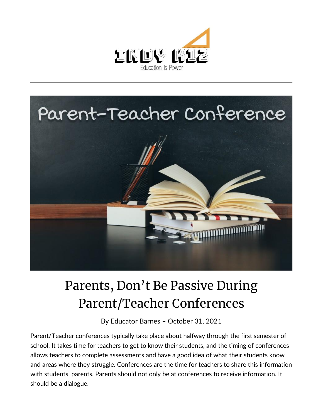



## Parents, Don't Be Passive During Parent/Teacher Conferences

By [Educator Barnes](https://indy.education/author/shicole/) – October 31, 2021

Parent/Teacher conferences typically take place about halfway through the first semester of school. It takes time for teachers to get to know their students, and the timing of conferences allows teachers to complete assessments and have a good idea of what their students know and areas where they struggle. Conferences are the time for teachers to share this information with students' parents. Parents should not only be at conferences to receive information. It should be a dialogue.